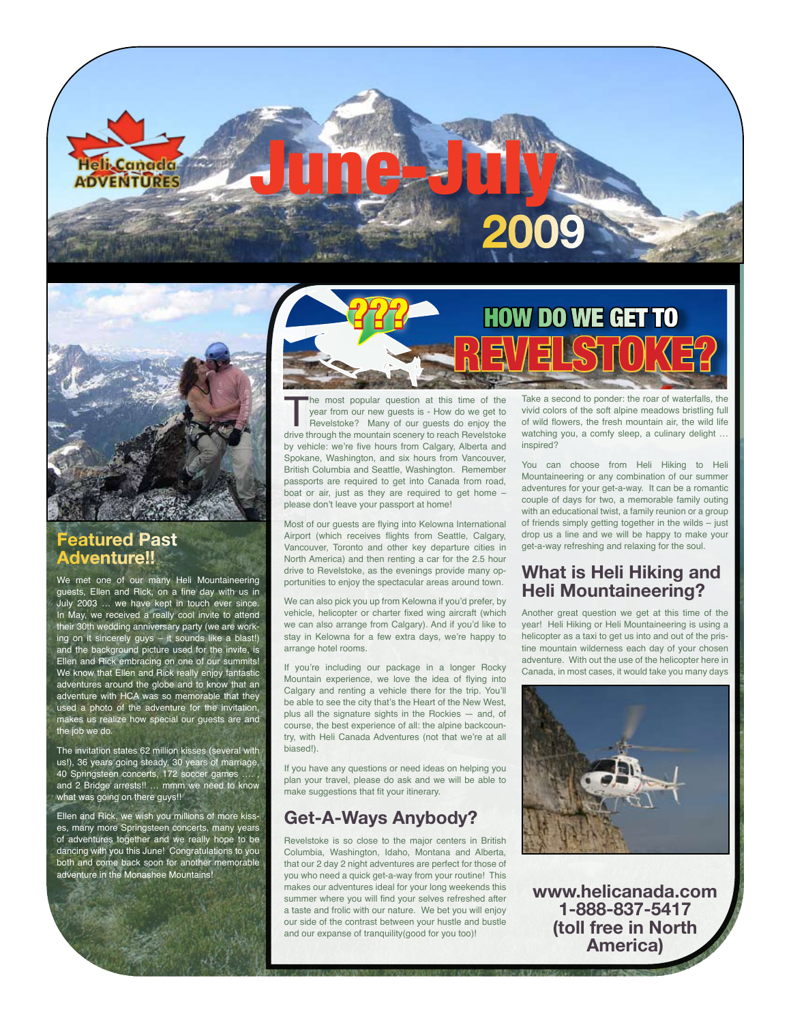# June-July **2009**

How do we get to

#### **Featured Past Adventure!!**

We met one of our many Heli Mountaineering guests, Ellen and Rick, on a fine day with us in July 2003 … we have kept in touch ever since. In May, we received a really cool invite to attend their 30th wedding anniversary party (we are working on it sincerely guys – it sounds like a blast!) and the background picture used for the invite, is Ellen and Rick embracing on one of our summits! We know that Ellen and Rick really enjoy fantastic adventures around the globe and to know that an adventure with HCA was so memorable that they used a photo of the adventure for the invitation, makes us realize how special our guests are and the job we do.

The invitation states 62 million kisses (several with us!), 36 years going steady, 30 years of marriage, 40 Springsteen concerts, 172 soccer games and 2 Bridge arrests!! … mmm we need to know what was going on there guys!!

Ellen and Rick, we wish you millions of more kisses, many more Springsteen concerts, many years of adventures together and we really hope to be dancing with you this June! Congratulations to you both and come back soon for another memorable adventure in the Monashee Mountains!



inspired? revelstoke? The most popular question at this time of the year from our new guests is - How do we get to Revelstoke? Many of our guests do enjoy the drive through the mountain scenery to reach Revelstoke year from our new guests is - How do we get to Revelstoke? Many of our guests do enjoy the by vehicle: we're five hours from Calgary, Alberta and Spokane, Washington, and six hours from Vancouver, British Columbia and Seattle, Washington. Remember passports are required to get into Canada from road,

Most of our guests are flying into Kelowna International Airport (which receives flights from Seattle, Calgary, Vancouver, Toronto and other key departure cities in North America) and then renting a car for the 2.5 hour drive to Revelstoke, as the evenings provide many opportunities to enjoy the spectacular areas around town.

boat or air, just as they are required to get home –

please don't leave your passport at home!

???

We can also pick you up from Kelowna if you'd prefer, by vehicle, helicopter or charter fixed wing aircraft (which we can also arrange from Calgary). And if you'd like to stay in Kelowna for a few extra days, we're happy to arrange hotel rooms.

If you're including our package in a longer Rocky Mountain experience, we love the idea of flying into Calgary and renting a vehicle there for the trip. You'll be able to see the city that's the Heart of the New West, plus all the signature sights in the Rockies — and, of course, the best experience of all: the alpine backcountry, with Heli Canada Adventures (not that we're at all biased!).

If you have any questions or need ideas on helping you plan your travel, please do ask and we will be able to make suggestions that fit your itinerary.

# **Get-A-Ways Anybody?**

Revelstoke is so close to the major centers in British Columbia, Washington, Idaho, Montana and Alberta, that our 2 day 2 night adventures are perfect for those of you who need a quick get-a-way from your routine! This makes our adventures ideal for your long weekends this summer where you will find your selves refreshed after a taste and frolic with our nature. We bet you will enjoy our side of the contrast between your hustle and bustle and our expanse of tranquility(good for you too)!

Take a second to ponder: the roar of waterfalls, the vivid colors of the soft alpine meadows bristling full of wild flowers, the fresh mountain air, the wild life watching you, a comfy sleep, a culinary delight …

You can choose from Heli Hiking to Heli Mountaineering or any combination of our summer adventures for your get-a-way. It can be a romantic couple of days for two, a memorable family outing with an educational twist, a family reunion or a group of friends simply getting together in the wilds – just drop us a line and we will be happy to make your get-a-way refreshing and relaxing for the soul.

#### **What is Heli Hiking and Heli Mountaineering?**

Another great question we get at this time of the year! Heli Hiking or Heli Mountaineering is using a helicopter as a taxi to get us into and out of the pristine mountain wilderness each day of your chosen adventure. With out the use of the helicopter here in Canada, in most cases, it would take you many days



**www.helicanada.com 1-888-837-5417 (toll free in North America)**